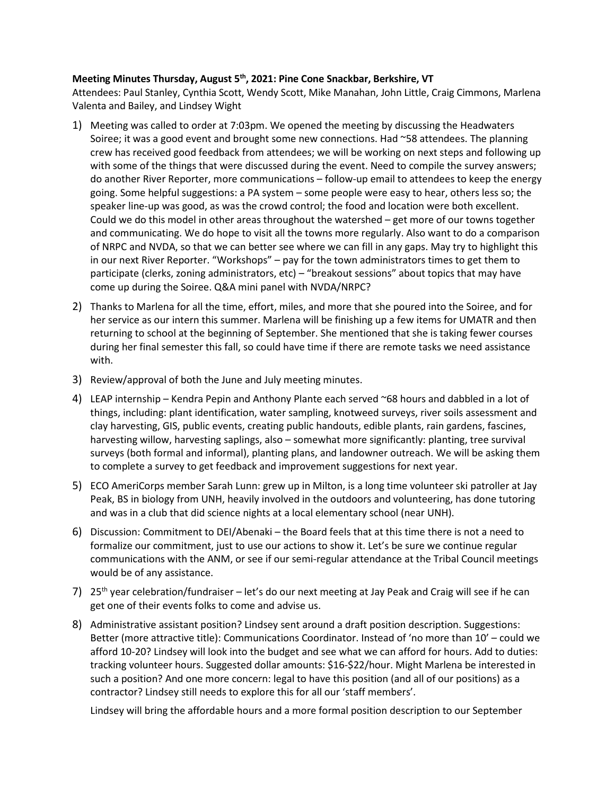## **Meeting Minutes Thursday, August 5th, 2021: Pine Cone Snackbar, Berkshire, VT**

Attendees: Paul Stanley, Cynthia Scott, Wendy Scott, Mike Manahan, John Little, Craig Cimmons, Marlena Valenta and Bailey, and Lindsey Wight

- 1) Meeting was called to order at 7:03pm. We opened the meeting by discussing the Headwaters Soiree; it was a good event and brought some new connections. Had  $\sim$ 58 attendees. The planning crew has received good feedback from attendees; we will be working on next steps and following up with some of the things that were discussed during the event. Need to compile the survey answers; do another River Reporter, more communications – follow-up email to attendees to keep the energy going. Some helpful suggestions: a PA system – some people were easy to hear, others less so; the speaker line-up was good, as was the crowd control; the food and location were both excellent. Could we do this model in other areas throughout the watershed – get more of our towns together and communicating. We do hope to visit all the towns more regularly. Also want to do a comparison of NRPC and NVDA, so that we can better see where we can fill in any gaps. May try to highlight this in our next River Reporter. "Workshops" – pay for the town administrators times to get them to participate (clerks, zoning administrators, etc) – "breakout sessions" about topics that may have come up during the Soiree. Q&A mini panel with NVDA/NRPC?
- 2) Thanks to Marlena for all the time, effort, miles, and more that she poured into the Soiree, and for her service as our intern this summer. Marlena will be finishing up a few items for UMATR and then returning to school at the beginning of September. She mentioned that she is taking fewer courses during her final semester this fall, so could have time if there are remote tasks we need assistance with.
- 3) Review/approval of both the June and July meeting minutes.
- 4) LEAP internship Kendra Pepin and Anthony Plante each served ~68 hours and dabbled in a lot of things, including: plant identification, water sampling, knotweed surveys, river soils assessment and clay harvesting, GIS, public events, creating public handouts, edible plants, rain gardens, fascines, harvesting willow, harvesting saplings, also – somewhat more significantly: planting, tree survival surveys (both formal and informal), planting plans, and landowner outreach. We will be asking them to complete a survey to get feedback and improvement suggestions for next year.
- 5) ECO AmeriCorps member Sarah Lunn: grew up in Milton, is a long time volunteer ski patroller at Jay Peak, BS in biology from UNH, heavily involved in the outdoors and volunteering, has done tutoring and was in a club that did science nights at a local elementary school (near UNH).
- 6) Discussion: Commitment to DEI/Abenaki the Board feels that at this time there is not a need to formalize our commitment, just to use our actions to show it. Let's be sure we continue regular communications with the ANM, or see if our semi-regular attendance at the Tribal Council meetings would be of any assistance.
- 7) 25<sup>th</sup> year celebration/fundraiser let's do our next meeting at Jay Peak and Craig will see if he can get one of their events folks to come and advise us.
- 8) Administrative assistant position? Lindsey sent around a draft position description. Suggestions: Better (more attractive title): Communications Coordinator. Instead of 'no more than 10' – could we afford 10-20? Lindsey will look into the budget and see what we can afford for hours. Add to duties: tracking volunteer hours. Suggested dollar amounts: \$16-\$22/hour. Might Marlena be interested in such a position? And one more concern: legal to have this position (and all of our positions) as a contractor? Lindsey still needs to explore this for all our 'staff members'.

Lindsey will bring the affordable hours and a more formal position description to our September